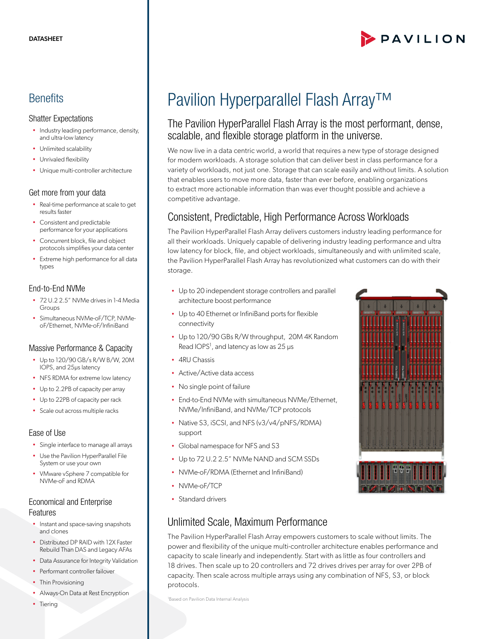# PAVILION

# **Benefits**

#### Shatter Expectations

- Industry leading performance, density, and ultra-low latency
- Unlimited scalability
- Unrivaled flexibility
- Unique multi-controller architecture

#### Get more from your data

- Real-time performance at scale to get results faster
- Consistent and predictable performance for your applications
- Concurrent block, file and object protocols simplifies your data center
- Extreme high performance for all data types

#### End-to-End NVMe

- 72 U.2 2.5" NVMe drives in 1-4 Media Groups
- Simultaneous NVMe-oF/TCP, NVMeoF/Ethernet, NVMe-oF/InfiniBand

#### Massive Performance & Capacity

- Up to 120/90 GB/s R/W B/W, 20M IOPS, and 25μs latency
- NFS RDMA for extreme low latency
- Up to 2.2PB of capacity per array
- Up to 22PB of capacity per rack
- Scale out across multiple racks

#### Ease of Use

- Single interface to manage all arrays
- Use the Pavilion HyperParallel File System or use your own
- VMware vSphere 7 compatible for NVMe-oF and RDMA

#### Economical and Enterprise Features

- Instant and space-saving snapshots and clones
- Distributed DP RAID with 12X Faster Rebuild Than DAS and Legacy AFAs
- Data Assurance for Integrity Validation
- Performant controller failover
- Thin Provisioning
- Always-On Data at Rest Encryption
- Tiering

# Pavilion Hyperparallel Flash Array™

## The Pavilion HyperParallel Flash Array is the most performant, dense, scalable, and flexible storage platform in the universe.

We now live in a data centric world, a world that requires a new type of storage designed for modern workloads. A storage solution that can deliver best in class performance for a variety of workloads, not just one. Storage that can scale easily and without limits. A solution that enables users to move more data, faster than ever before, enabling organizations to extract more actionable information than was ever thought possible and achieve a competitive advantage.

# Consistent, Predictable, High Performance Across Workloads

The Pavilion HyperParallel Flash Array delivers customers industry leading performance for all their workloads. Uniquely capable of delivering industry leading performance and ultra low latency for block, file, and object workloads, simultaneously and with unlimited scale, the Pavilion HyperParallel Flash Array has revolutionized what customers can do with their storage.

- Up to 20 independent storage controllers and parallel architecture boost performance
- Up to 40 Ethernet or InfiniBand ports for flexible connectivity
- Up to 120/90 GBs R/W throughput, 20M 4K Random Read IOPS<sup>1</sup>, and latency as low as 25 μs
- 4RU Chassis
- Active/Active data access
- No single point of failure
- End-to-End NVMe with simultaneous NVMe/Ethernet, NVMe/InfiniBand, and NVMe/TCP protocols
- Native S3, iSCSI, and NFS (v3/v4/pNFS/RDMA)
- Global namespace for NFS and S3
- Up to 72 U.2 2.5" NVMe NAND and SCM SSDs
- NVMe-oF/RDMA (Ethernet and InfiniBand)
- NVMe-oF/TCP

support

• Standard drivers

# Unlimited Scale, Maximum Performance

The Pavilion HyperParallel Flash Array empowers customers to scale without limits. The power and flexibility of the unique multi-controller architecture enables performance and capacity to scale linearly and independently. Start with as little as four controllers and 18 drives. Then scale up to 20 controllers and 72 drives drives per array for over 2PB of capacity. Then scale across multiple arrays using any combination of NFS, S3, or block protocols.

1 Based on Pavilion Data Internal Analysis

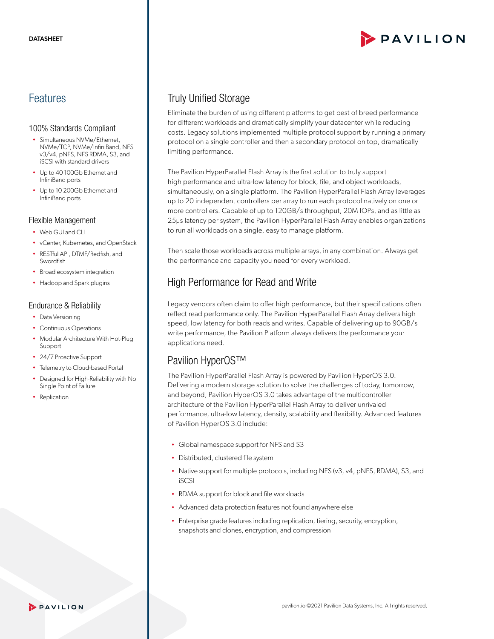### Features

#### 100% Standards Compliant

- Simultaneous NVMe/Ethernet, NVMe/TCP, NVMe/InfiniBand, NFS v3/v4, pNFS, NFS RDMA, S3, and iSCSI with standard drivers
- Up to 40 100Gb Ethernet and InfiniBand ports
- Up to 10 200Gb Ethernet and InfiniBand ports

#### Flexible Management

- Web GUI and CLI
- vCenter, Kubernetes, and OpenStack
- RESTful API, DTMF/Redfish, and Swordfish
- Broad ecosystem integration
- Hadoop and Spark plugins

#### Endurance & Reliability

- Data Versioning
- Continuous Operations
- Modular Architecture With Hot-Plug Support
- 24/7 Proactive Support
- Telemetry to Cloud-based Portal
- Designed for High-Reliability with No Single Point of Failure
- Replication

## Truly Unified Storage

Eliminate the burden of using different platforms to get best of breed performance for different workloads and dramatically simplify your datacenter while reducing costs. Legacy solutions implemented multiple protocol support by running a primary protocol on a single controller and then a secondary protocol on top, dramatically limiting performance.

The Pavilion HyperParallel Flash Array is the first solution to truly support high performance and ultra-low latency for block, file, and object workloads, simultaneously, on a single platform. The Pavilion HyperParallel Flash Array leverages up to 20 independent controllers per array to run each protocol natively on one or more controllers. Capable of up to 120GB/s throughput, 20M IOPs, and as little as 25μs latency per system, the Pavilion HyperParallel Flash Array enables organizations to run all workloads on a single, easy to manage platform.

Then scale those workloads across multiple arrays, in any combination. Always get the performance and capacity you need for every workload.

# High Performance for Read and Write

Legacy vendors often claim to offer high performance, but their specifications often reflect read performance only. The Pavilion HyperParallel Flash Array delivers high speed, low latency for both reads and writes. Capable of delivering up to 90GB/s write performance, the Pavilion Platform always delivers the performance your applications need.

### Pavilion HyperOS™

The Pavilion HyperParallel Flash Array is powered by Pavilion HyperOS 3.0. Delivering a modern storage solution to solve the challenges of today, tomorrow, and beyond, Pavilion HyperOS 3.0 takes advantage of the multicontroller architecture of the Pavilion HyperParallel Flash Array to deliver unrivaled performance, ultra-low latency, density, scalability and flexibility. Advanced features of Pavilion HyperOS 3.0 include:

- Global namespace support for NFS and S3
- Distributed, clustered file system
- Native support for multiple protocols, including NFS (v3, v4, pNFS, RDMA), S3, and iSCSI
- RDMA support for block and file workloads
- Advanced data protection features not found anywhere else
- Enterprise grade features including replication, tiering, security, encryption, snapshots and clones, encryption, and compression

#### PAVILION

# PAVILION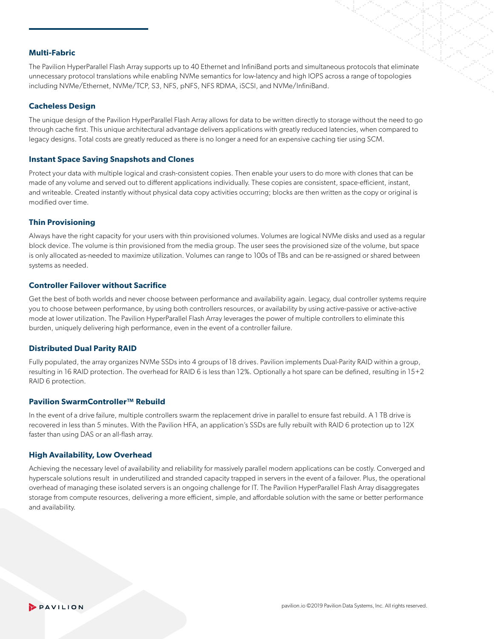#### **Multi-Fabric**

The Pavilion HyperParallel Flash Array supports up to 40 Ethernet and InfiniBand ports and simultaneous protocols that eliminate unnecessary protocol translations while enabling NVMe semantics for low-latency and high IOPS across a range of topologies including NVMe/Ethernet, NVMe/TCP, S3, NFS, pNFS, NFS RDMA, iSCSI, and NVMe/InfiniBand.

#### **Cacheless Design**

The unique design of the Pavilion HyperParallel Flash Array allows for data to be written directly to storage without the need to go through cache first. This unique architectural advantage delivers applications with greatly reduced latencies, when compared to legacy designs. Total costs are greatly reduced as there is no longer a need for an expensive caching tier using SCM.

#### **Instant Space Saving Snapshots and Clones**

Protect your data with multiple logical and crash-consistent copies. Then enable your users to do more with clones that can be made of any volume and served out to different applications individually. These copies are consistent, space-efficient, instant, and writeable. Created instantly without physical data copy activities occurring; blocks are then written as the copy or original is modified over time.

#### **Thin Provisioning**

Always have the right capacity for your users with thin provisioned volumes. Volumes are logical NVMe disks and used as a regular block device. The volume is thin provisioned from the media group. The user sees the provisioned size of the volume, but space is only allocated as-needed to maximize utilization. Volumes can range to 100s of TBs and can be re-assigned or shared between systems as needed.

#### **Controller Failover without Sacrifice**

Get the best of both worlds and never choose between performance and availability again. Legacy, dual controller systems require you to choose between performance, by using both controllers resources, or availability by using active-passive or active-active mode at lower utilization. The Pavilion HyperParallel Flash Array leverages the power of multiple controllers to eliminate this burden, uniquely delivering high performance, even in the event of a controller failure.

#### **Distributed Dual Parity RAID**

Fully populated, the array organizes NVMe SSDs into 4 groups of 18 drives. Pavilion implements Dual-Parity RAID within a group, resulting in 16 RAID protection. The overhead for RAID 6 is less than 12%. Optionally a hot spare can be defined, resulting in 15+2 RAID 6 protection.

#### **Pavilion SwarmController™ Rebuild**

In the event of a drive failure, multiple controllers swarm the replacement drive in parallel to ensure fast rebuild. A 1 TB drive is recovered in less than 5 minutes. With the Pavilion HFA, an application's SSDs are fully rebuilt with RAID 6 protection up to 12X faster than using DAS or an all-flash array.

#### **High Availability, Low Overhead**

Achieving the necessary level of availability and reliability for massively parallel modern applications can be costly. Converged and hyperscale solutions result in underutilized and stranded capacity trapped in servers in the event of a failover. Plus, the operational overhead of managing these isolated servers is an ongoing challenge for IT. The Pavilion HyperParallel Flash Array disaggregates storage from compute resources, delivering a more efficient, simple, and affordable solution with the same or better performance and availability.